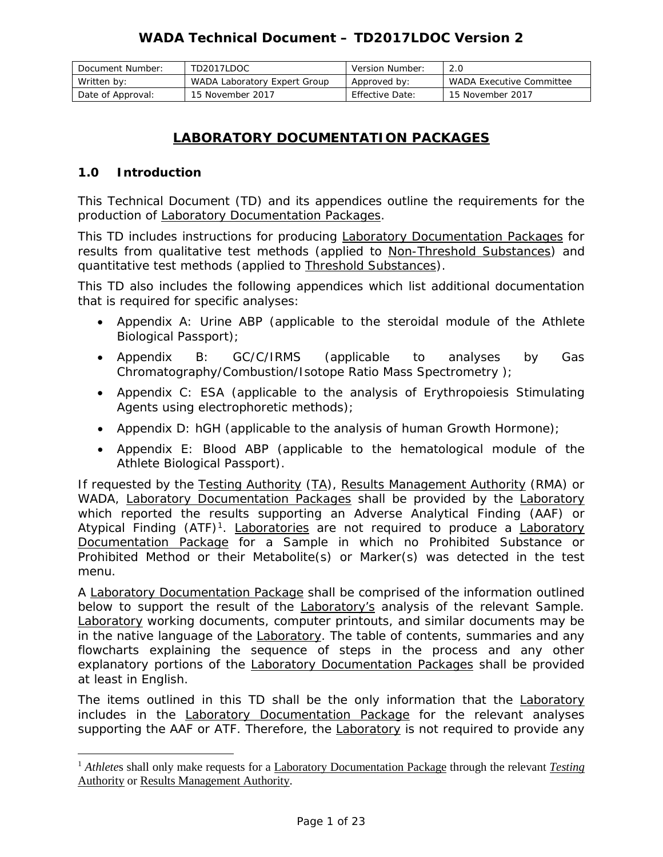| Document Number:  | TD2017LDOC                   | Version Number: |                                 |
|-------------------|------------------------------|-----------------|---------------------------------|
| Written by:       | WADA Laboratory Expert Group | Approved by:    | <i>WADA</i> Executive Committee |
| Date of Approval: | 15 November 2017             | Effective Date: | 15 November 2017                |

# **LABORATORY DOCUMENTATION PACKAGES**

### **1.0 Introduction**

This Technical Document (TD) and its appendices outline the requirements for the production of Laboratory Documentation Packages.

This TD includes instructions for producing **Laboratory Documentation Packages** for results from qualitative test methods (applied to Non-Threshold Substances) and quantitative test methods (applied to Threshold Substances).

This TD also includes the following appendices which list additional documentation that is required for specific analyses:

- Appendix A: Urine *ABP* (applicable to the steroidal module of the *Athlete Biological Passport*);
- Appendix B: GC/C/IRMS (applicable to analyses by Gas Chromatography/Combustion/Isotope Ratio Mass Spectrometry );
- Appendix C: ESA (applicable to the analysis of Erythropoiesis Stimulating Agents using electrophoretic methods);
- Appendix D: hGH (applicable to the analysis of human Growth Hormone);
- Appendix E: Blood *ABP* (applicable to the hematological module of the *Athlete Biological Passport*).

If requested by the *Testing* Authority (TA), Results Management Authority (RMA) or *WADA*, Laboratory Documentation Packages shall be provided by the Laboratory which reported the results supporting an *Adverse Analytical Finding* (*AAF*) or *Atypical Finding (ATF)*[1.](#page-0-0) Laboratories are not required to produce a Laboratory Documentation Package for a *Sample* in which no *Prohibited Substance* or *Prohibited Method* or their *Metabolite(s)* or *Marker(s)* was detected in the test menu.

A Laboratory Documentation Package shall be comprised of the information outlined below to support the result of the Laboratory's analysis of the relevant *Sample*. Laboratory working documents, computer printouts, and similar documents may be in the native language of the Laboratory. The table of contents, summaries and any flowcharts explaining the sequence of steps in the process and any other explanatory portions of the Laboratory Documentation Packages shall be provided at least in English.

The items outlined in this TD shall be the only information that the Laboratory includes in the Laboratory Documentation Package for the relevant analyses supporting the *AAF* or *ATF*. Therefore, the Laboratory is not required to provide any

<span id="page-0-0"></span><sup>&</sup>lt;sup>1</sup> *Athletes* shall only make requests for a *Laboratory Documentation Package through the relevant Testing* Authority or Results Management Authority.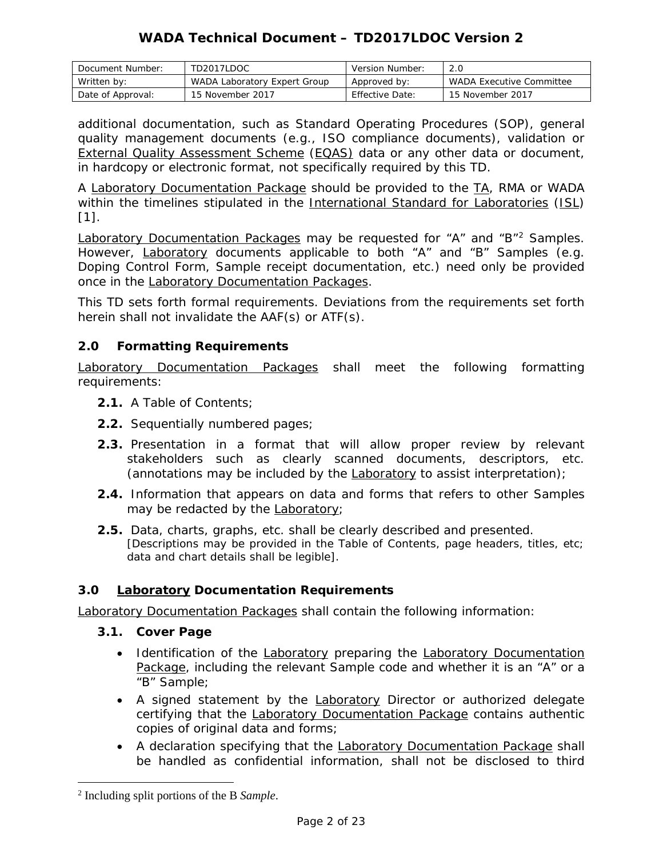| Document Number:  | TD2017LDOC                   | Version Number: |                                 |
|-------------------|------------------------------|-----------------|---------------------------------|
| Written by:       | WADA Laboratory Expert Group | Approved by:    | <i>WADA</i> Executive Committee |
| Date of Approval: | 15 November 2017             | Effective Date: | 15 November 2017                |

additional documentation, such as Standard Operating Procedures (SOP), general quality management documents (*e.g*., ISO compliance documents), validation or External Quality Assessment Scheme (EQAS) data or any other data or document, in hardcopy or electronic format, not specifically required by this TD.

A Laboratory Documentation Package should be provided to the TA, RMA or *WADA* within the timelines stipulated in the *International Standard* for Laboratories (ISL)  $[1]$ .

Laboratory Documentation Packages may be requested for "A" and "B"[2](#page-1-0) *Samples*. However, Laboratory documents applicable to both "A" and "B" *Samples* (*e.g. Doping Control* Form, *Sample* receipt documentation, etc.) need only be provided once in the Laboratory Documentation Packages.

This TD sets forth formal requirements. Deviations from the requirements set forth herein shall not invalidate the *AAF*(s) or *ATF*(s).

## **2.0 Formatting Requirements**

Laboratory Documentation Packages shall meet the following formatting requirements:

- **2.1.** A Table of Contents;
- **2.2.** Sequentially numbered pages;
- **2.3.** Presentation in a format that will allow proper review by relevant stakeholders such as clearly scanned documents, descriptors, etc. (annotations may be included by the Laboratory to assist interpretation);
- **2.4.** Information that appears on data and forms that refers to other *Samples* may be redacted by the Laboratory;
- **2.5.** Data, charts, graphs, etc. shall be clearly described and presented. *[Descriptions may be provided in the Table of Contents, page headers, titles, etc; data and chart details shall be legible].*

## **3.0 Laboratory Documentation Requirements**

Laboratory Documentation Packages shall contain the following information:

- **3.1. Cover Page**
	- Identification of the Laboratory preparing the Laboratory Documentation Package, including the relevant *Sample* code and whether it is an "A" or a "B" *Sample*;
	- A signed statement by the Laboratory Director or authorized delegate certifying that the Laboratory Documentation Package contains authentic copies of original data and forms;
	- A declaration specifying that the Laboratory Documentation Package shall be handled as confidential information, shall not be disclosed to third

<span id="page-1-0"></span> <sup>2</sup> Including split portions of the B *Sample*.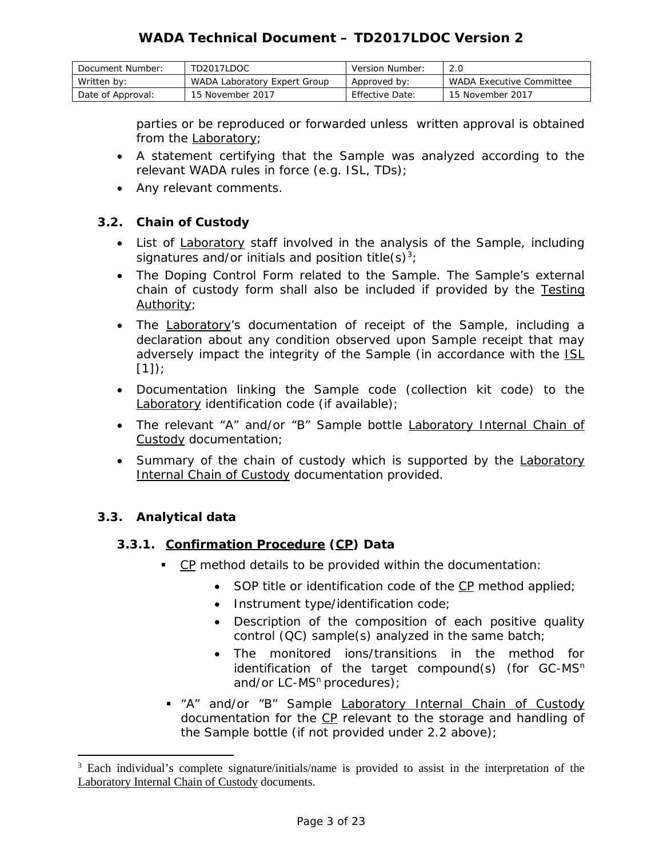| Document Number:  | TD2017LDOC                   | Version Number: | 2.0                             |
|-------------------|------------------------------|-----------------|---------------------------------|
| Written by:       | WADA Laboratory Expert Group | Approved by:    | <i>WADA</i> Executive Committee |
| Date of Approval: | 15 November 2017             | Effective Date: | 15 November 2017                |

parties or be reproduced or forwarded unless written approval is obtained from the Laboratory;

- A statement certifying that the *Sample* was analyzed according to the relevant *WADA* rules in force (*e.g*. ISL, TDs);
- Any relevant comments.

## **3.2. Chain of Custody**

- List of Laboratory staff involved in the analysis of the *Sample*, including signatures and/or initials and position title(s) $3$ ;
- The *Doping Control* Form related to the *Sample*. The *Sample's* external chain of custody form shall also be included if provided by the *Testing* Authority;
- The Laboratory's documentation of receipt of the *Sample*, including a declaration about any condition observed upon *Sample* receipt that may adversely impact the integrity of the *Sample* (in accordance with the ISL [1])*;*
- Documentation linking the *Sample* code (collection kit code) to the Laboratory identification code (if available);
- The relevant "A" and/or "B" *Sample* bottle Laboratory Internal Chain of Custody documentation;
- Summary of the chain of custody which is supported by the Laboratory Internal Chain of Custody documentation provided.

## **3.3. Analytical data**

## **3.3.1. Confirmation Procedure (CP) Data**

- **CP** method details to be provided within the documentation:
	- SOP title or identification code of the CP method applied;
	- Instrument type/identification code;
	- Description of the composition of each positive quality control (QC) sample(s) analyzed in the same batch;
	- The monitored ions/transitions in the method for identification of the target compound(s) (for  $GC\text{-}MS<sup>n</sup>$ and/or LC-MS<sup>n</sup> procedures);
- "A" and/or "B" *Sample* Laboratory Internal Chain of Custody documentation for the CP relevant to the storage and handling of the *Sample* bottle (if not provided under 2.2 above);

<span id="page-2-0"></span><sup>&</sup>lt;sup>3</sup> Each individual's complete signature/initials/name is provided to assist in the interpretation of the Laboratory Internal Chain of Custody documents.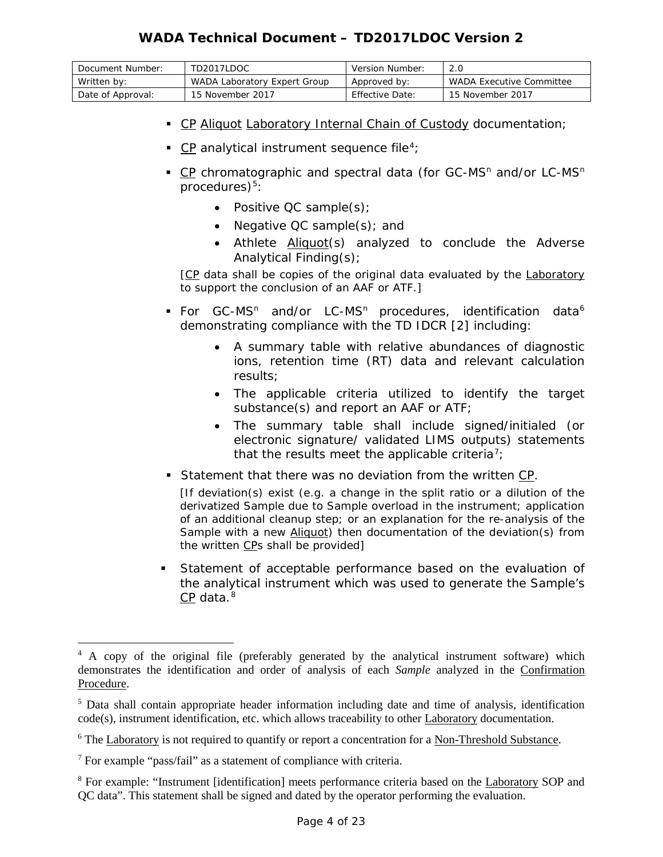| Document Number:  | TD2017LDOC                   | Version Number: |                                 |
|-------------------|------------------------------|-----------------|---------------------------------|
| Written by:       | WADA Laboratory Expert Group | Approved by:    | <i>WADA</i> Executive Committee |
| Date of Approval: | 15 November 2017             | Effective Date: | 15 November 2017                |

- CP Aliquot Laboratory Internal Chain of Custody documentation;
- CP analytical instrument sequence file<sup>4</sup>;
- CP chromatographic and spectral data (for GC-MS<sup>n</sup> and/or LC-MS<sup>n</sup> procedures) $5$ :
	- Positive QC sample(s);
	- Negative QC sample(s); and
	- *Athlete* Aliquot(s) analyzed to conclude the *Adverse Analytical Finding(s)*;

[CP data shall be copies of the original data evaluated by the Laboratory to support the conclusion of an *AAF* or *ATF*.]

- For  $GC\text{-}MS^n$  and/or LC-MS<sup>n</sup> procedures, identification data<sup>[6](#page-3-2)</sup> demonstrating compliance with the TD IDCR [2] including:
	- A summary table with relative abundances of diagnostic ions, retention time (RT) data and relevant calculation results;
	- The applicable criteria utilized to identify the target substance(s) and report an *AAF or ATF*;
	- The summary table shall include signed/initialed (or electronic signature/ validated LIMS outputs) statements that the results meet the applicable criteria<sup>[7](#page-3-3)</sup>;
- Statement that there was no deviation from the written CP.

*[If deviation(s) exist (e.g. a change in the split ratio or a dilution of the derivatized Sample due to Sample overload in the instrument; application of an additional cleanup step; or an explanation for the re-analysis of the Sample with a new Aliquot) then documentation of the deviation(s) from the written CPs shall be provided]*

 Statement of acceptable performance based on the evaluation of the analytical instrument which was used to generate the *Sample*'s CP data.<sup>8</sup>

<span id="page-3-0"></span><sup>&</sup>lt;sup>4</sup> A copy of the original file (preferably generated by the analytical instrument software) which demonstrates the identification and order of analysis of each *Sample* analyzed in the Confirmation Procedure.

<span id="page-3-1"></span><sup>&</sup>lt;sup>5</sup> Data shall contain appropriate header information including date and time of analysis, identification code(s), instrument identification, etc. which allows traceability to other Laboratory documentation.

<span id="page-3-2"></span><sup>6</sup> The Laboratory is not required to quantify or report a concentration for a Non-Threshold Substance.

<span id="page-3-3"></span><sup>7</sup> For example "pass/fail" as a statement of compliance with criteria.

<span id="page-3-4"></span><sup>8</sup> For example: "Instrument [identification] meets performance criteria based on the Laboratory SOP and QC data". This statement shall be signed and dated by the operator performing the evaluation.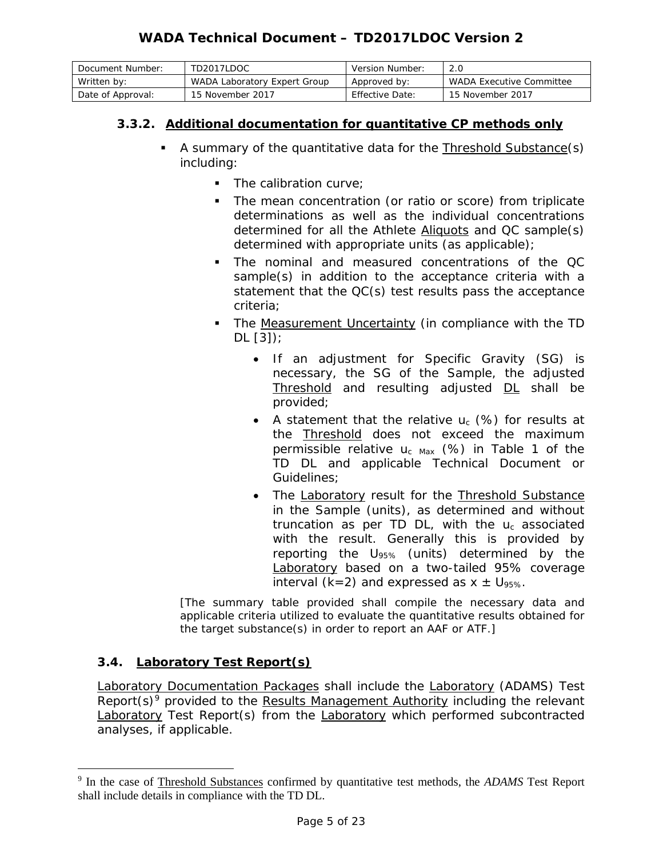| Document Number:  | TD2017LDOC                   | Version Number: | 2.0                             |
|-------------------|------------------------------|-----------------|---------------------------------|
| Written by:       | WADA Laboratory Expert Group | Approved by:    | <i>WADA</i> Executive Committee |
| Date of Approval: | 15 November 2017             | Effective Date: | 15 November 2017                |

## **3.3.2. Additional documentation for quantitative CP methods only**

- A summary of the quantitative data for the **Threshold Substance**(s) including:
	- The calibration curve:
	- The mean concentration (or ratio or score) from triplicate determinations as well as the individual concentrations determined for all the *Athlete* Aliquots and QC sample(s) determined with appropriate units (as applicable);
	- The nominal and measured concentrations of the QC sample(s) in addition to the acceptance criteria with a statement that the QC(s) test results pass the acceptance criteria;
	- The Measurement Uncertainty (in compliance with the TD DL [3]);
		- If an adjustment for Specific Gravity (SG) is necessary, the SG of the *Sample*, the adjusted Threshold and resulting adjusted DL shall be provided;
		- A statement that the relative  $u_c$  (%) for results at the Threshold does not exceed the maximum permissible relative *uc Max* (%) in Table 1 of the TD DL and applicable Technical Document or Guidelines;
		- The Laboratory result for the Threshold Substance in the *Sample* (units), as determined and without truncation as per TD DL, with the *uc* associated with the result. Generally this is provided by reporting the *U95%* (units) determined by the Laboratory based on a two-tailed 95% coverage interval  $(k=2)$  and expressed as  $x \pm U_{95\%}$ .

*[The summary table provided shall compile the necessary data and applicable criteria utilized to evaluate the quantitative results obtained for the target substance(s) in order to report an AAF* or *ATF.]*

## **3.4. Laboratory Test Report(s)**

Laboratory Documentation Packages shall include the Laboratory (*ADAMS*) Test Report(s)<sup>[9](#page-4-0)</sup> provided to the Results Management Authority including the relevant Laboratory Test Report(s) from the Laboratory which performed subcontracted analyses, if applicable.

<span id="page-4-0"></span> <sup>9</sup> In the case of Threshold Substances confirmed by quantitative test methods, the *ADAMS* Test Report shall include details in compliance with the TD DL.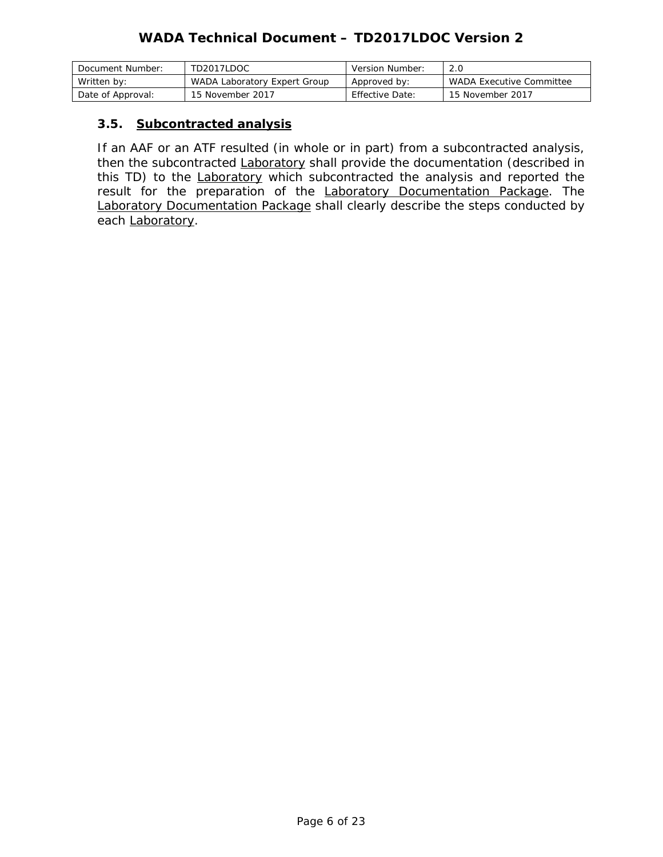| Document Number:  | TD2017LDOC                   | Version Number: |                                 |
|-------------------|------------------------------|-----------------|---------------------------------|
| Written by:       | WADA Laboratory Expert Group | Approved by:    | <i>WADA</i> Executive Committee |
| Date of Approval: | 15 November 2017             | Effective Date: | 15 November 2017                |

### **3.5. Subcontracted analysis**

If an *AAF* or an *ATF* resulted (in whole or in part) from a subcontracted analysis, then the subcontracted Laboratory shall provide the documentation (described in this TD) to the Laboratory which subcontracted the analysis and reported the result for the preparation of the Laboratory Documentation Package. The Laboratory Documentation Package shall clearly describe the steps conducted by each Laboratory.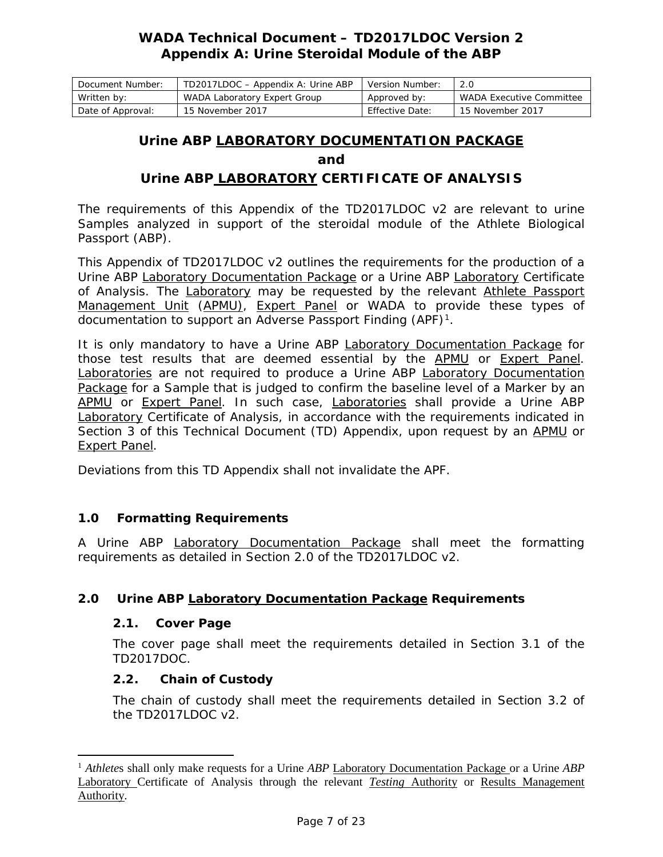| Document Number:  | TD2017LDOC - Appendix A: Urine ABP | Version Number: |                          |
|-------------------|------------------------------------|-----------------|--------------------------|
| Written by:       | WADA Laboratory Expert Group       | Approved by:    | WADA Executive Committee |
| Date of Approval: | 15 November 2017                   | Effective Date: | 15 November 2017         |

## **Urine** *ABP* **LABORATORY DOCUMENTATION PACKAGE**

**and** 

### **Urine** *ABP* **LABORATORY CERTIFICATE OF ANALYSIS**

The requirements of this Appendix of the TD2017LDOC v2 are relevant to urine *Samples* analyzed in support of the steroidal module of the *Athlete Biological Passport* (*ABP*).

This Appendix of TD2017LDOC v2 outlines the requirements for the production of a Urine *ABP* Laboratory Documentation Package or a Urine *ABP* Laboratory Certificate of Analysis. The Laboratory may be requested by the relevant *Athlete* Passport Management Unit (APMU), Expert Panel or *WADA* to provide these types of documentation to support an *Adverse Passport Finding (APF)[1](#page-6-0).* 

It is only mandatory to have a Urine *ABP* Laboratory Documentation Package for those test results that are deemed essential by the APMU or Expert Panel. Laboratories are not required to produce a Urine *ABP* Laboratory Documentation Package for a *Sample* that is judged to confirm the baseline level of a *Marker* by an APMU or Expert Panel. In such case, Laboratories shall provide a Urine *ABP*  Laboratory Certificate of Analysis, in accordance with the requirements indicated in Section 3 of this Technical Document (TD) Appendix, upon request by an APMU or Expert Panel.

Deviations from this TD Appendix shall not invalidate the *APF*.

### **1.0 Formatting Requirements**

A Urine *ABP* Laboratory Documentation Package shall meet the formatting requirements as detailed in Section 2.0 of the TD2017LDOC v2.

### **2.0 Urine** *ABP* **Laboratory Documentation Package Requirements**

#### **2.1. Cover Page**

The cover page shall meet the requirements detailed in Section 3.1 of the TD2017DOC.

### **2.2. Chain of Custody**

The chain of custody shall meet the requirements detailed in Section 3.2 of the TD2017LDOC v2.

<span id="page-6-0"></span> <sup>1</sup> *Athlete*s shall only make requests for a Urine *ABP* Laboratory Documentation Package or a Urine *ABP* Laboratory Certificate of Analysis through the relevant *Testing* Authority or Results Management Authority.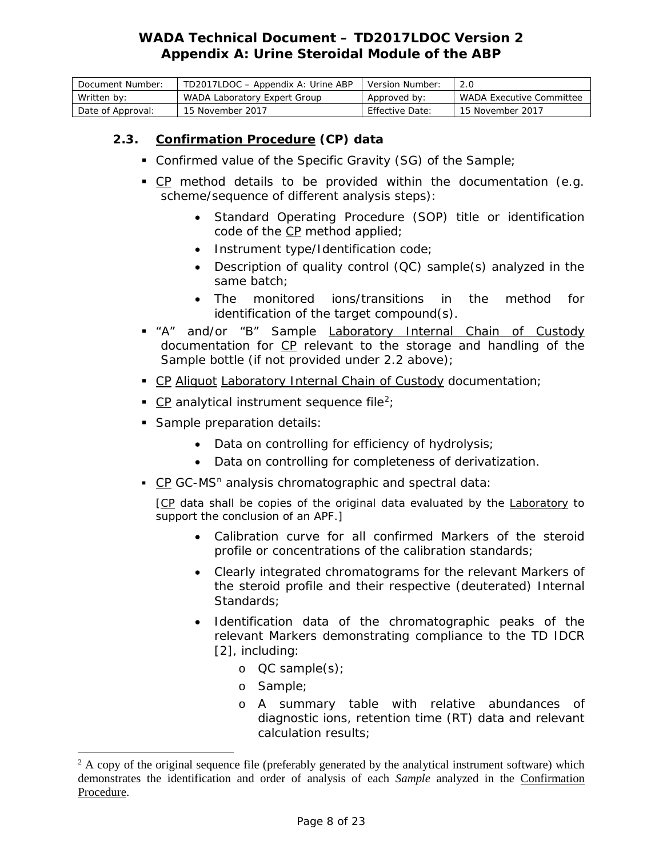| Document Number:  | TD2017LDOC - Appendix A: Urine ABP | Version Number: |                          |
|-------------------|------------------------------------|-----------------|--------------------------|
| Written by:       | WADA Laboratory Expert Group       | Approved by:    | WADA Executive Committee |
| Date of Approval: | 15 November 2017                   | Effective Date: | 15 November 2017         |

## **2.3. Confirmation Procedure (CP) data**

- Confirmed value of the Specific Gravity (SG) of the *Sample*;
- CP method details to be provided within the documentation *(e.g.*  scheme/sequence of different analysis steps*)*:
	- Standard Operating Procedure (SOP) title or identification code of the CP method applied;
	- Instrument type/Identification code;
	- Description of quality control (QC) sample(s) analyzed in the same batch;
	- The monitored ions/transitions in the method for identification of the target compound(s).
- "A" and/or "B" *Sample* Laboratory Internal Chain of Custody documentation for CP relevant to the storage and handling of the *Sample* bottle (if not provided under 2.2 above);
- CP Aliquot Laboratory Internal Chain of Custody documentation;
- CP analytical instrument sequence file<sup>2</sup>;
- *Sample* preparation details:
	- Data on controlling for efficiency of hydrolysis;
	- Data on controlling for completeness of derivatization.
- $\blacksquare$  CP GC-MS<sup>n</sup> analysis chromatographic and spectral data:

[CP data shall be copies of the original data evaluated by the Laboratory to support the conclusion of an *APF*.]

- Calibration curve for all confirmed *Markers* of the steroid profile or concentrations of the calibration standards;
- Clearly integrated chromatograms for the relevant *Markers* of the steroid profile and their respective (deuterated) Internal Standards;
- Identification data of the chromatographic peaks of the relevant *Markers* demonstrating compliance to the TD IDCR [2], including:
	- o QC sample(s);
	- o *Sample*;
	- o A summary table with relative abundances of diagnostic ions, retention time (RT) data and relevant calculation results;

<span id="page-7-0"></span><sup>&</sup>lt;sup>2</sup> A copy of the original sequence file (preferably generated by the analytical instrument software) which demonstrates the identification and order of analysis of each *Sample* analyzed in the Confirmation Procedure.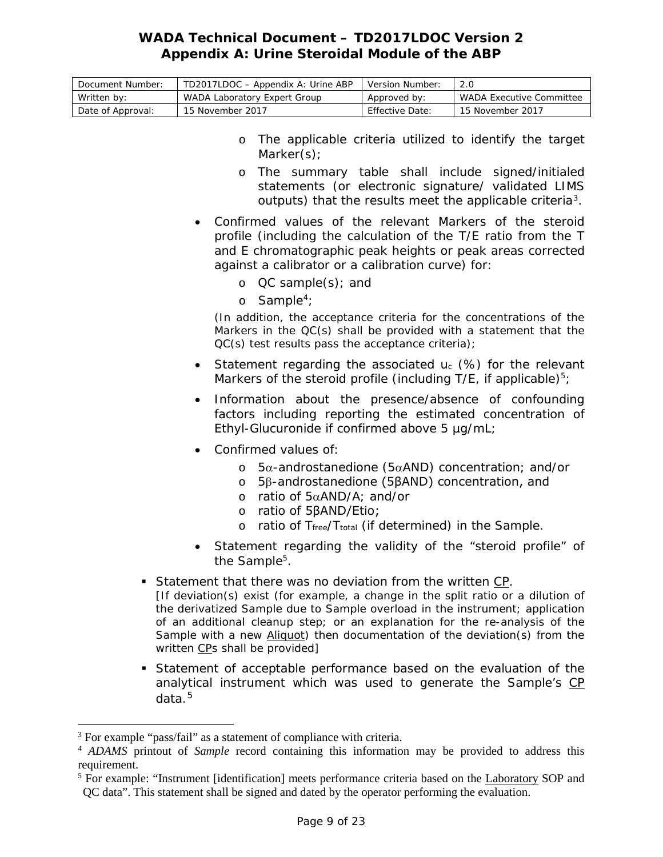| Document Number:  | TD2017LDOC - Appendix A: Urine ABP | Version Number: |                          |
|-------------------|------------------------------------|-----------------|--------------------------|
| Written by:       | WADA Laboratory Expert Group       | Approved by:    | WADA Executive Committee |
| Date of Approval: | 15 November 2017                   | Effective Date: | 15 November 2017         |

- o The applicable criteria utilized to identify the target *Marker*(s);
- o The summary table shall include signed/initialed statements (or electronic signature/ validated LIMS outputs) that the results meet the applicable criteria[3](#page-8-0).
- Confirmed values of the relevant *Markers* of the steroid profile (including the calculation of the T/E ratio from the T and E chromatographic peak heights or peak areas corrected against a calibrator or a calibration curve) for:
	- o QC sample(s); and
	- o *Sample*[4;](#page-8-1)

*(In addition, the acceptance criteria for the concentrations of the Markers in the QC(s) shall be provided with a statement that the QC(s) test results pass the acceptance criteria);*

- Statement regarding the associated  $u_c$  (%) for the relevant *Markers* of the steroid profile (including  $T/E$ , if applicable)<sup>5</sup>;
- Information about the presence/absence of confounding factors including reporting the estimated concentration of Ethyl-Glucuronide if confirmed above 5 µg/mL;
- Confirmed values of:
	- o 5α-androstanedione (5αAND) concentration; and/or
	- o 5β-androstanedione (5βAND) concentration, and
	- o ratio of 5αAND/A; and/or
	- o ratio of 5βAND/Etio;
	- o ratio of T<sub>free</sub>/T<sub>total</sub> (if determined) in the *Sample*.
- Statement regarding the validity of the "steroid profile" of the *Sample*5.
- Statement that there was no deviation from the written CP.

*[If deviation(s) exist (for example, a change in the split ratio or a dilution of the derivatized Sample due to Sample overload in the instrument; application of an additional cleanup step; or an explanation for the re-analysis of the Sample with a new Aliquot) then documentation of the deviation(s) from the written CPs shall be provided]*

 Statement of acceptable performance based on the evaluation of the analytical instrument which was used to generate the *Sample*'s CP data.[5](#page-8-2)

<span id="page-8-0"></span> $3$  For example "pass/fail" as a statement of compliance with criteria.

<span id="page-8-1"></span><sup>4</sup> *ADAMS* printout of *Sample* record containing this information may be provided to address this requirement.

<span id="page-8-2"></span><sup>&</sup>lt;sup>5</sup> For example: "Instrument [identification] meets performance criteria based on the Laboratory SOP and QC data". This statement shall be signed and dated by the operator performing the evaluation.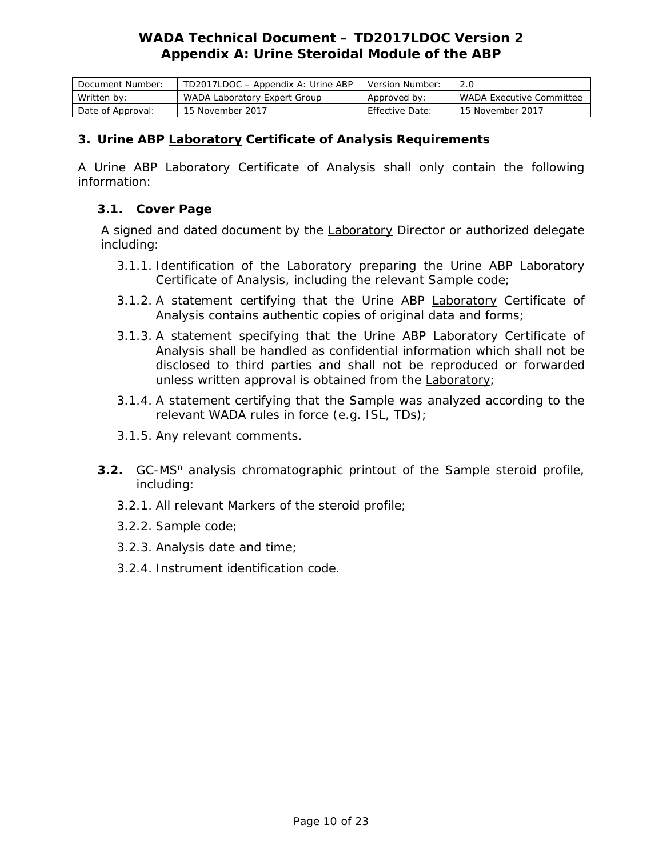| Document Number:  | TD2017LDOC - Appendix A: Urine ABP | Version Number: |                                 |
|-------------------|------------------------------------|-----------------|---------------------------------|
| Written by:       | WADA Laboratory Expert Group       | Approved by:    | <i>WADA</i> Executive Committee |
| Date of Approval: | 15 November 2017                   | Effective Date: | 15 November 2017                |

## **3. Urine** *ABP* **Laboratory Certificate of Analysis Requirements**

A Urine *ABP* Laboratory Certificate of Analysis shall only contain the following information:

### **3.1. Cover Page**

A signed and dated document by the Laboratory Director or authorized delegate including:

- 3.1.1. Identification of the Laboratory preparing the Urine *ABP* Laboratory Certificate of Analysis, including the relevant *Sample* code;
- 3.1.2. A statement certifying that the Urine *ABP* Laboratory Certificate of Analysis contains authentic copies of original data and forms;
- 3.1.3. A statement specifying that the Urine *ABP* Laboratory Certificate of Analysis shall be handled as confidential information which shall not be disclosed to third parties and shall not be reproduced or forwarded unless written approval is obtained from the Laboratory;
- 3.1.4. A statement certifying that the *Sample* was analyzed according to the relevant *WADA* rules in force (*e.g*. ISL, TDs);
- 3.1.5. Any relevant comments.
- **3.2.** GC-MS<sup>n</sup> analysis chromatographic printout of the *Sample* steroid profile, including:
	- 3.2.1. All relevant *Markers* of the steroid profile;
	- 3.2.2. *Sample* code;
	- 3.2.3. Analysis date and time;
	- 3.2.4. Instrument identification code.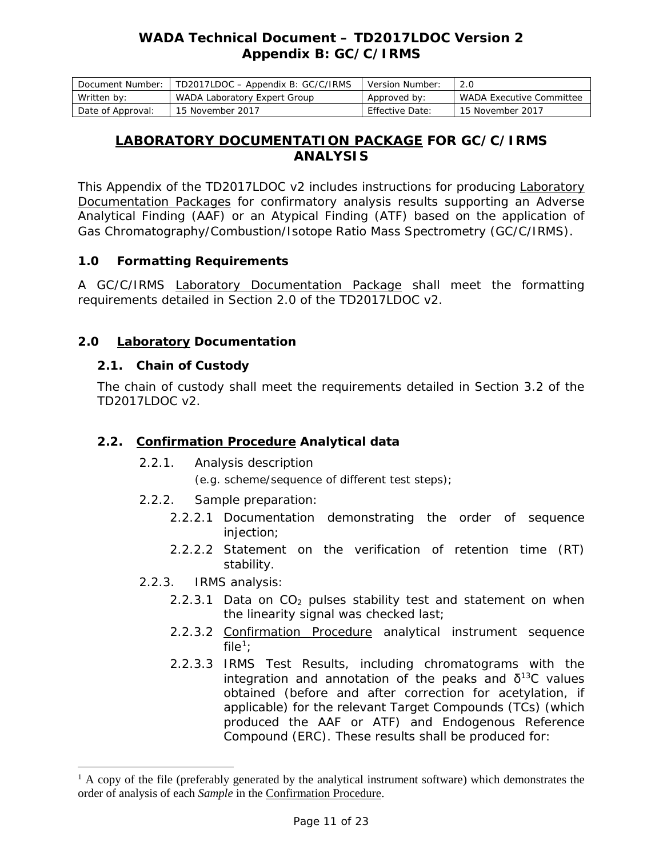# *WADA* **Technical Document – TD2017LDOC Version 2 Appendix B: GC/C/IRMS**

| Document Number:  | TD2017LDOC - Appendix B: GC/C/IRMS | Version Number: |                          |
|-------------------|------------------------------------|-----------------|--------------------------|
| Written by:       | WADA Laboratory Expert Group       | Approved by:    | WADA Executive Committee |
| Date of Approval: | 15 November 2017                   | Effective Date: | 15 November 2017         |

## **LABORATORY DOCUMENTATION PACKAGE FOR GC/C/IRMS ANALYSIS**

This Appendix of the TD2017LDOC v2 includes instructions for producing Laboratory Documentation Packages for confirmatory analysis results supporting an *Adverse Analytical Finding* (*AAF*) or an *Atypical Finding* (*ATF*) based on the application of Gas Chromatography/Combustion/Isotope Ratio Mass Spectrometry (GC/C/IRMS).

## **1.0 Formatting Requirements**

A GC/C/IRMS Laboratory Documentation Package shall meet the formatting requirements detailed in Section 2.0 of the TD2017LDOC v2.

## **2.0 Laboratory Documentation**

## **2.1. Chain of Custody**

The chain of custody shall meet the requirements detailed in Section 3.2 of the TD2017LDOC v2.

## **2.2. Confirmation Procedure Analytical data**

2.2.1. Analysis description

*(e.g. scheme/sequence of different test steps);*

- 2.2.2. *Sample* preparation:
	- 2.2.2.1 Documentation demonstrating the order of sequence injection;
	- 2.2.2.2 Statement on the verification of retention time (RT) stability.
- 2.2.3. IRMS analysis:
	- 2.2.3.1 Data on  $CO<sub>2</sub>$  pulses stability test and statement on when the linearity signal was checked last;
	- 2.2.3.2 Confirmation Procedure analytical instrument sequence file $1$ ;
	- 2.2.3.3 IRMS Test Results, including chromatograms with the integration and annotation of the peaks and  $\delta^{13}C$  values obtained (before and after correction for acetylation, if applicable) for the relevant Target Compounds (TCs) (which produced the *AAF* or *ATF*) and Endogenous Reference Compound (ERC). These results shall be produced for:

<span id="page-10-0"></span> $<sup>1</sup>$  A copy of the file (preferably generated by the analytical instrument software) which demonstrates the</sup> order of analysis of each *Sample* in the Confirmation Procedure.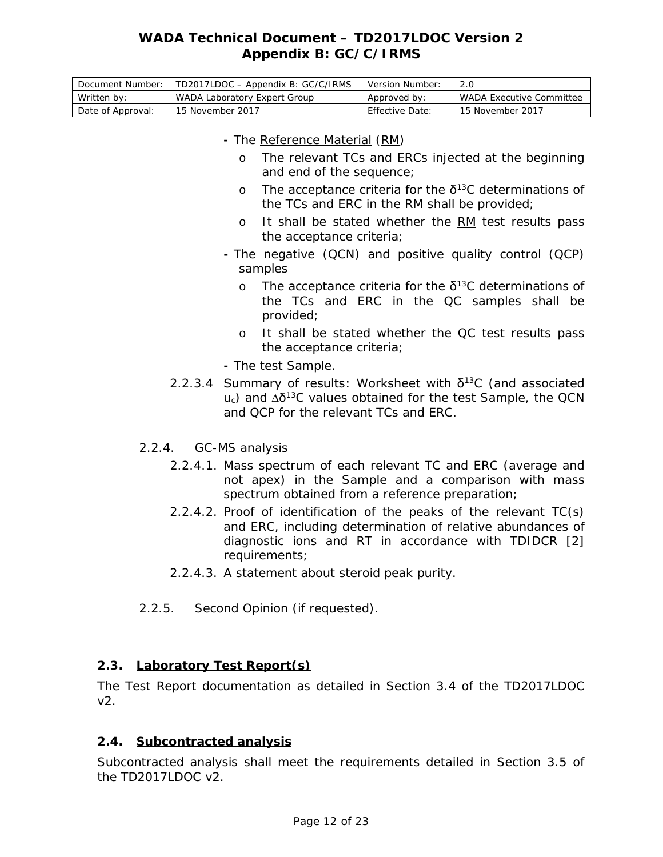# *WADA* **Technical Document – TD2017LDOC Version 2 Appendix B: GC/C/IRMS**

| Document Number:  | TD2017LDOC - Appendix B: GC/C/IRMS | Version Number: |                                 |
|-------------------|------------------------------------|-----------------|---------------------------------|
| Written by:       | WADA Laboratory Expert Group       | Approved by:    | <i>WADA</i> Executive Committee |
| Date of Approval: | 15 November 2017                   | Effective Date: | 15 November 2017                |

### **-** The Reference Material (RM)

- o The relevant TCs and ERCs injected at the beginning and end of the sequence;
- o The acceptance criteria for the  $δ<sup>13</sup>C$  determinations of the TCs and ERC in the RM shall be provided;
- o It shall be stated whether the RM test results pass the acceptance criteria;
- **-** The negative (QCN) and positive quality control (QCP) samples
	- o The acceptance criteria for the  $δ<sup>13</sup>C$  determinations of the TCs and ERC in the QC samples shall be provided;
	- o It shall be stated whether the QC test results pass the acceptance criteria;
- **-** The test *Sample*.
- 2.2.3.4 Summary of results: Worksheet with  $\delta^{13}$ C (and associated *uc*) and ∆δ13C values obtained for the test *Sample*, the QCN and QCP for the relevant TCs and ERC.
- 2.2.4. GC-MS analysis
	- 2.2.4.1. Mass spectrum of each relevant TC and ERC (average and not apex) in the *Sample* and a comparison with mass spectrum obtained from a reference preparation;
	- 2.2.4.2. Proof of identification of the peaks of the relevant TC(s) and ERC, including determination of relative abundances of diagnostic ions and RT in accordance with TDIDCR [2] requirements;
	- 2.2.4.3. A statement about steroid peak purity.
- 2.2.5. Second Opinion (if requested).

### **2.3. Laboratory Test Report(s)**

The Test Report documentation as detailed in Section 3.4 of the TD2017LDOC v2.

### **2.4. Subcontracted analysis**

Subcontracted analysis shall meet the requirements detailed in Section 3.5 of the TD2017LDOC v2.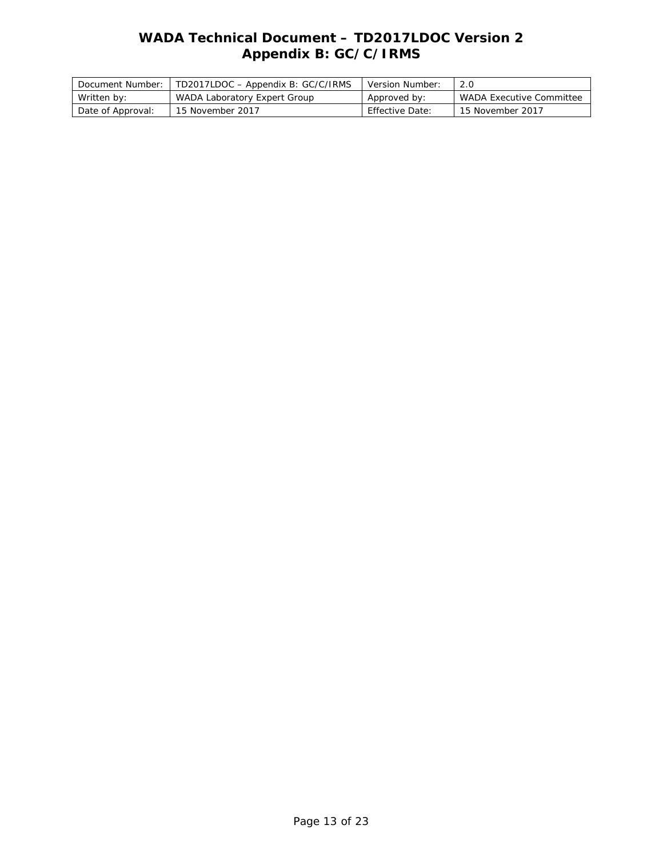# *WADA* **Technical Document – TD2017LDOC Version 2 Appendix B: GC/C/IRMS**

| Document Number:  | TD2017LDOC - Appendix B: GC/C/IRMS | Version Number: |                                 |
|-------------------|------------------------------------|-----------------|---------------------------------|
| Written by:       | WADA Laboratory Expert Group       | Approved by:    | <i>WADA</i> Executive Committee |
| Date of Approval: | 15 November 2017                   | Effective Date: | 15 November 2017                |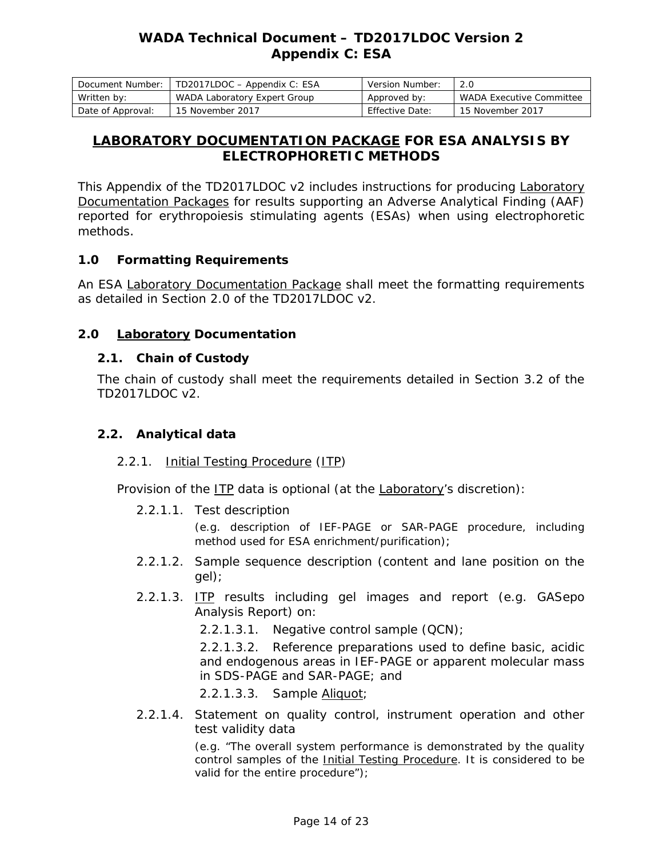# *WADA* **Technical Document – TD2017LDOC Version 2 Appendix C: ESA**

| Document Number:  | TD2017LDOC - Appendix C: ESA | Version Number:        |                          |
|-------------------|------------------------------|------------------------|--------------------------|
| Written by:       | WADA Laboratory Expert Group | Approved by:           | WADA Executive Committee |
| Date of Approval: | 15 November 2017             | <b>Effective Date:</b> | 15 November 2017         |

## **LABORATORY DOCUMENTATION PACKAGE FOR ESA ANALYSIS BY ELECTROPHORETIC METHODS**

This Appendix of the TD2017LDOC v2 includes instructions for producing Laboratory Documentation Packages for results supporting an *Adverse Analytical Finding* (*AAF*) reported for erythropoiesis stimulating agents (ESAs) when using electrophoretic methods.

### **1.0 Formatting Requirements**

An ESA Laboratory Documentation Package shall meet the formatting requirements as detailed in Section 2.0 of the TD2017LDOC v2.

### **2.0 Laboratory Documentation**

### **2.1. Chain of Custody**

The chain of custody shall meet the requirements detailed in Section 3.2 of the TD2017LDOC v2.

### **2.2. Analytical data**

### 2.2.1. Initial Testing Procedure (ITP)

Provision of the ITP data is optional (at the Laboratory's discretion):

2.2.1.1. Test description

*(e.g. description of IEF-PAGE or SAR-PAGE procedure, including method used for ESA enrichment/purification)*;

- 2.2.1.2. *Sample* sequence description (content and lane position on the gel);
- 2.2.1.3. ITP results including gel images and report (*e.g.* GASepo Analysis Report) on:

2.2.1.3.1. Negative control sample (QCN);

2.2.1.3.2. Reference preparations used to define basic, acidic and endogenous areas in IEF-PAGE or apparent molecular mass in SDS-PAGE and SAR-PAGE; and

2.2.1.3.3. *Sample* Aliquot;

2.2.1.4. Statement on quality control, instrument operation and other test validity data

> *(e.g. "The overall system performance is demonstrated by the quality control samples of the Initial Testing Procedure. It is considered to be valid for the entire procedure");*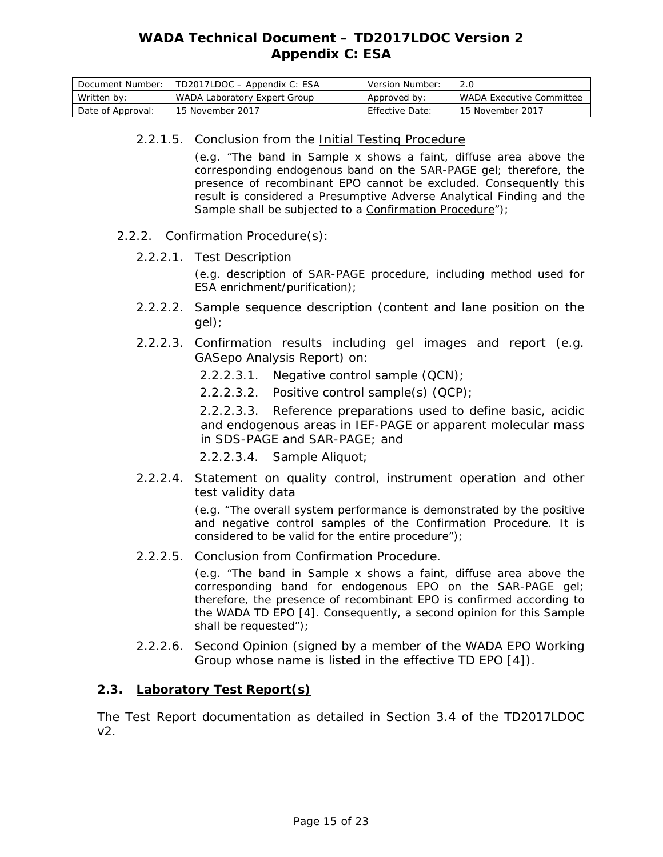# *WADA* **Technical Document – TD2017LDOC Version 2 Appendix C: ESA**

| Document Number:  | TD2017LDOC - Appendix C: ESA | Version Number: |                          |
|-------------------|------------------------------|-----------------|--------------------------|
| Written by:       | WADA Laboratory Expert Group | Approved by:    | WADA Executive Committee |
| Date of Approval: | 15 November 2017             | Effective Date: | 15 November 2017         |

### 2.2.1.5. Conclusion from the Initial Testing Procedure

*(e.g. "The band in Sample x shows a faint, diffuse area above the corresponding endogenous band on the SAR-PAGE gel; therefore, the presence of recombinant EPO cannot be excluded. Consequently this result is considered a Presumptive Adverse Analytical Finding and the Sample shall be subjected to a Confirmation Procedure");*

### 2.2.2. Confirmation Procedure(s):

### 2.2.2.1. Test Description

*(e.g. description of SAR-PAGE procedure, including method used for ESA enrichment/purification);*

- 2.2.2.2. *Sample* sequence description (content and lane position on the gel);
- 2.2.2.3. Confirmation results including gel images and report (e.g. GASepo Analysis Report) on:
	- 2.2.2.3.1. Negative control sample (QCN);
	- 2.2.2.3.2. Positive control sample(s) (QCP);

2.2.2.3.3. Reference preparations used to define basic, acidic and endogenous areas in IEF-PAGE or apparent molecular mass in SDS-PAGE and SAR-PAGE; and

- 2.2.2.3.4. *Sample* Aliquot;
- 2.2.2.4. Statement on quality control, instrument operation and other test validity data

*(e.g. "The overall system performance is demonstrated by the positive and negative control samples of the Confirmation Procedure. It is considered to be valid for the entire procedure");*

2.2.2.5. Conclusion from Confirmation Procedure.

*(e.g. "The band in Sample x shows a faint, diffuse area above the corresponding band for endogenous EPO on the SAR-PAGE gel; therefore, the presence of recombinant EPO is confirmed according to the WADA TD EPO [4]. Consequently, a second opinion for this Sample shall be requested");*

2.2.2.6. Second Opinion (signed by a member of the *WADA* EPO Working Group whose name is listed in the effective TD EPO [4]).

### **2.3. Laboratory Test Report(s)**

The Test Report documentation as detailed in Section 3.4 of the TD2017LDOC v2.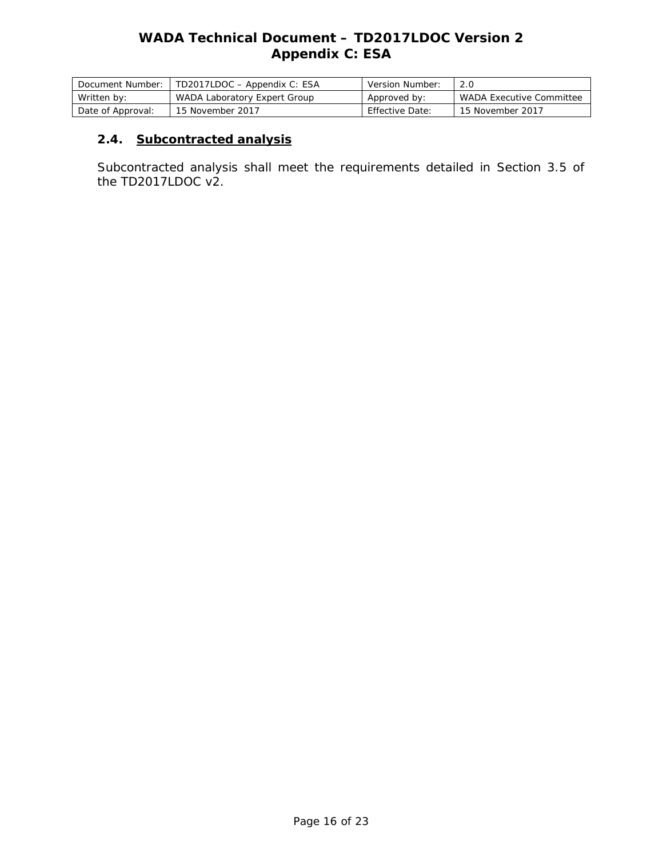# *WADA* **Technical Document – TD2017LDOC Version 2 Appendix C: ESA**

| Document Number:  | TD2017LDOC - Appendix C: ESA | Version Number: |                          |
|-------------------|------------------------------|-----------------|--------------------------|
| Written by:       | WADA Laboratory Expert Group | Approved by:    | WADA Executive Committee |
| Date of Approval: | 15 November 2017             | Effective Date: | 15 November 2017         |

# **2.4. Subcontracted analysis**

Subcontracted analysis shall meet the requirements detailed in Section 3.5 of the TD2017LDOC v2.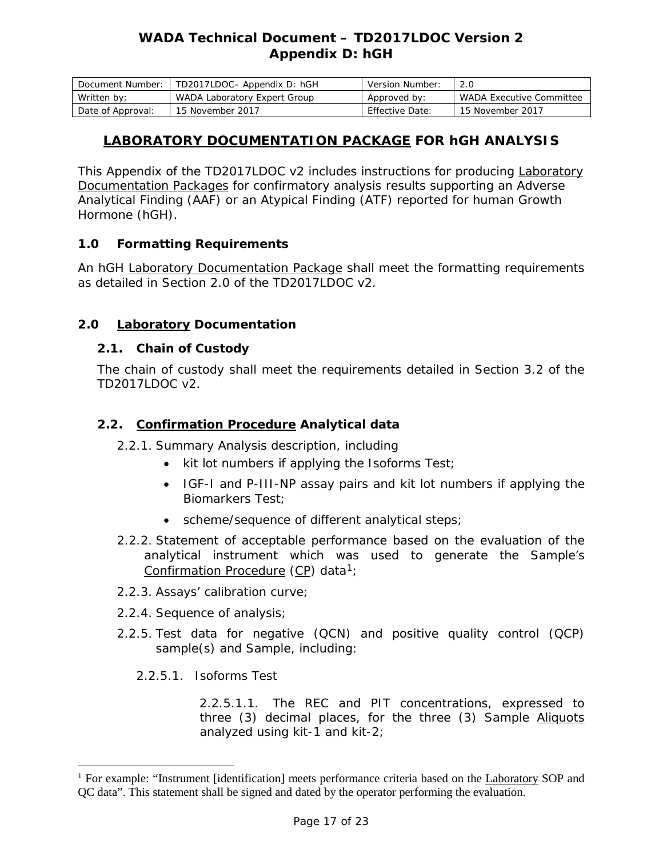| Document Number:  | TD2017LDOC- Appendix D: hGH  | Version Number: |                          |
|-------------------|------------------------------|-----------------|--------------------------|
| Written by:       | WADA Laboratory Expert Group | Approved by:    | WADA Executive Committee |
| Date of Approval: | 15 November 2017             | Effective Date: | 15 November 2017         |

## **LABORATORY DOCUMENTATION PACKAGE FOR hGH ANALYSIS**

This Appendix of the TD2017LDOC v2 includes instructions for producing Laboratory Documentation Packages for confirmatory analysis results supporting an *Adverse Analytical Finding* (*AAF*) or an *Atypical Finding* (*ATF*) reported for human Growth Hormone (hGH).

## **1.0 Formatting Requirements**

An hGH Laboratory Documentation Package shall meet the formatting requirements as detailed in Section 2.0 of the TD2017LDOC v2.

## **2.0 Laboratory Documentation**

## **2.1. Chain of Custody**

The chain of custody shall meet the requirements detailed in Section 3.2 of the TD2017LDOC v2.

## **2.2. Confirmation Procedure Analytical data**

2.2.1. Summary Analysis description, including

- kit lot numbers if applying the Isoforms Test;
- IGF-I and P-III-NP assay pairs and kit lot numbers if applying the Biomarkers Test;
- scheme/sequence of different analytical steps;
- 2.2.2. Statement of acceptable performance based on the evaluation of the analytical instrument which was used to generate the *Sample*'s Confirmation Procedure (CP) data<sup>1</sup>;
- 2.2.3. Assays' calibration curve;
- 2.2.4. Sequence of analysis;
- 2.2.5. Test data for negative (QCN) and positive quality control (QCP) sample(s) and *Sample,* including:

2.2.5.1. *Isoforms Test*

2.2.5.1.1. The REC and PIT concentrations, expressed to three (3) decimal places, for the three (3) *Sample* Aliquots analyzed using kit-1 and kit-2;

<span id="page-16-0"></span><sup>&</sup>lt;sup>1</sup> For example: "Instrument [identification] meets performance criteria based on the Laboratory SOP and QC data". This statement shall be signed and dated by the operator performing the evaluation.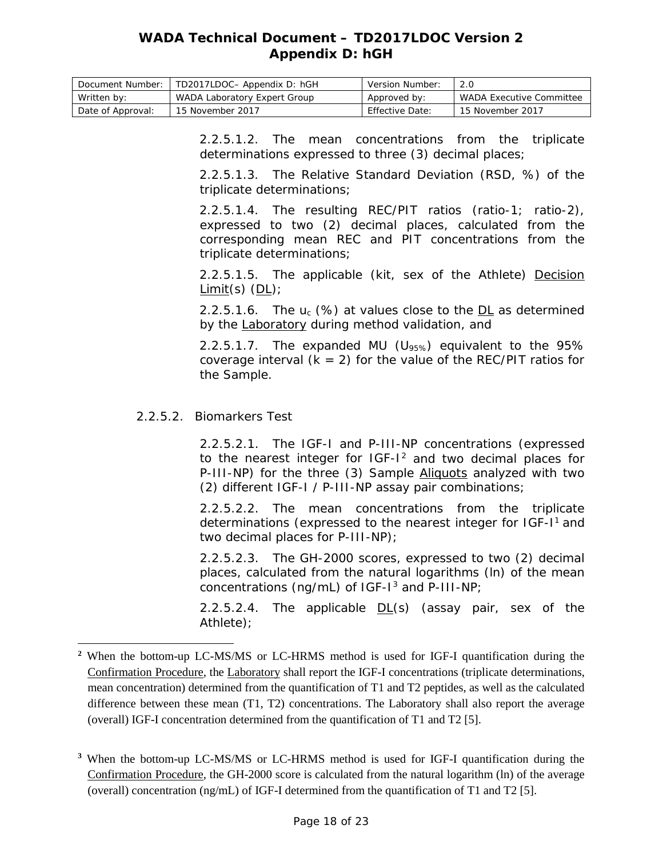# *WADA* **Technical Document – TD2017LDOC Version 2 Appendix D: hGH**

| Document Number:  | TD2017LDOC- Appendix D: hGH  | Version Number: |                          |
|-------------------|------------------------------|-----------------|--------------------------|
| Written by:       | WADA Laboratory Expert Group | Approved by:    | WADA Executive Committee |
| Date of Approval: | 15 November 2017             | Effective Date: | 15 November 2017         |

2.2.5.1.2. The mean concentrations from the triplicate determinations expressed to three (3) decimal places;

2.2.5.1.3. The Relative Standard Deviation (RSD, %) of the triplicate determinations;

2.2.5.1.4. The resulting REC/PIT ratios (ratio-1; ratio-2), expressed to two (2) decimal places, calculated from the corresponding mean REC and PIT concentrations from the triplicate determinations;

2.2.5.1.5. The applicable (kit, sex of the *Athlete*) Decision  $Limit(s)$  (DL);

2.2.5.1.6. The  $u_c$  (%) at values close to the DL as determined by the Laboratory during method validation, and

2.2.5.1.7. The expanded MU (*U95%*) equivalent to the 95% coverage interval  $(k = 2)$  for the value of the REC/PIT ratios for the *Sample*.

### 2.2.5.2. *Biomarkers Test*

 $\overline{a}$ 

2.2.5.2.1. The IGF-I and P-III-NP concentrations (expressed to the nearest integer for IGF-1<sup>[2](#page-17-0)</sup> and two decimal places for P-III-NP) for the three (3) *Sample* Aliquots analyzed with two (2) different IGF-I / P-III-NP assay pair combinations;

2.2.5.2.2. The mean concentrations from the triplicate determinations (expressed to the nearest integer for IGF-I<sup>1</sup> and two decimal places for P-III-NP);

2.2.5.2.3. The GH-2000 scores, expressed to two (2) decimal places, calculated from the natural logarithms (ln) of the mean concentrations ( $nq/mL$ ) of  $IGF-I<sup>3</sup>$  $IGF-I<sup>3</sup>$  $IGF-I<sup>3</sup>$  and P-III-NP;

2.2.5.2.4. The applicable  $DL(s)$  (assay pair, sex of the *Athlete*);

<span id="page-17-0"></span>**<sup>2</sup>** When the bottom-up LC-MS/MS or LC-HRMS method is used for IGF-I quantification during the Confirmation Procedure, the Laboratory shall report the IGF-I concentrations (triplicate determinations, mean concentration) determined from the quantification of T1 and T2 peptides, as well as the calculated difference between these mean (T1, T2) concentrations. The Laboratory shall also report the average (overall) IGF-I concentration determined from the quantification of T1 and T2 [5].

<span id="page-17-1"></span>**<sup>3</sup>** When the bottom-up LC-MS/MS or LC-HRMS method is used for IGF-I quantification during the Confirmation Procedure, the GH-2000 score is calculated from the natural logarithm (ln) of the average (overall) concentration (ng/mL) of IGF-I determined from the quantification of T1 and T2 [5].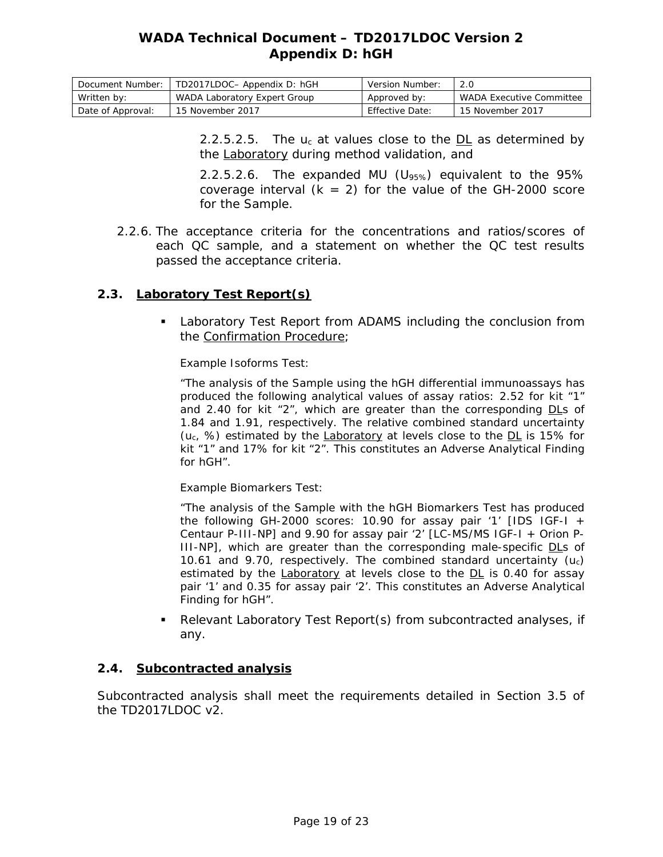# *WADA* **Technical Document – TD2017LDOC Version 2 Appendix D: hGH**

| Document Number:  | TD2017LDOC- Appendix D: hGH  | Version Number: |                                 |
|-------------------|------------------------------|-----------------|---------------------------------|
| Written by:       | WADA Laboratory Expert Group | Approved by:    | <i>WADA</i> Executive Committee |
| Date of Approval: | 15 November 2017             | Effective Date: | 15 November 2017                |

2.2.5.2.5. The  $u_c$  at values close to the DL as determined by the Laboratory during method validation, and

2.2.5.2.6. The expanded MU (*U95%*) equivalent to the 95% coverage interval  $(k = 2)$  for the value of the GH-2000 score for the *Sample*.

2.2.6. The acceptance criteria for the concentrations and ratios/scores of each QC sample, and a statement on whether the QC test results passed the acceptance criteria.

### **2.3. Laboratory Test Report(s)**

 Laboratory Test Report from *ADAMS* including the conclusion from the Confirmation Procedure;

### *Example Isoforms Test:*

"The analysis of the *Sample* using the hGH differential immunoassays has produced the following analytical values of assay ratios: 2.52 for kit "1" and 2.40 for kit  $"2"$ , which are greater than the corresponding  $D\text{Ls}$  of 1.84 and 1.91, respectively. The relative combined standard uncertainty  $(u_c, %)$  estimated by the Laboratory at levels close to the  $DL$  is 15% for kit "1" and 17% for kit "2". This constitutes an *Adverse Analytical Finding* for hGH".

#### *Example Biomarkers Test:*

"The analysis of the *Sample* with the hGH Biomarkers Test has produced the following GH-2000 scores: 10.90 for assay pair '1' [IDS IGF-I + Centaur P-III-NP] and 9.90 for assay pair '2' [LC-MS/MS IGF-I + Orion P-III-NP], which are greater than the corresponding male-specific DLs of 10.61 and 9.70, respectively. The combined standard uncertainty (*uc*) estimated by the Laboratory at levels close to the DL is 0.40 for assay pair '1' and 0.35 for assay pair '2'. This constitutes an *Adverse Analytical Finding* for hGH".

 Relevant Laboratory Test Report(s) from subcontracted analyses, if any.

### **2.4. Subcontracted analysis**

Subcontracted analysis shall meet the requirements detailed in Section 3.5 of the TD2017LDOC v2.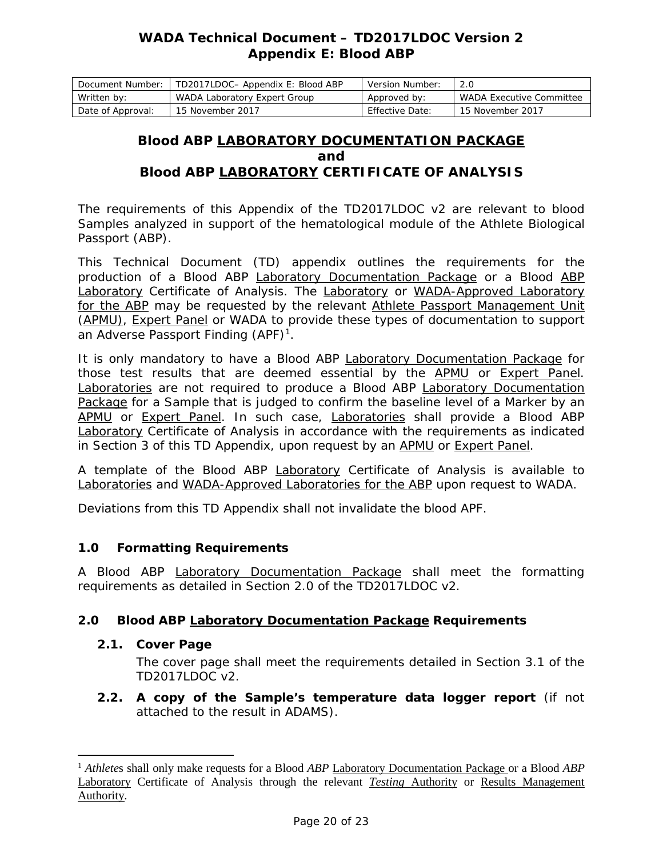# *WADA* **Technical Document – TD2017LDOC Version 2 Appendix E: Blood** *ABP*

| Document Number:  | TD2017LDOC- Appendix E: Blood ABP | Version Number: |                          |
|-------------------|-----------------------------------|-----------------|--------------------------|
| Written by:       | WADA Laboratory Expert Group      | Approved by:    | WADA Executive Committee |
| Date of Approval: | 15 November 2017                  | Effective Date: | 15 November 2017         |

## **Blood** *ABP* **LABORATORY DOCUMENTATION PACKAGE and Blood** *ABP* **LABORATORY CERTIFICATE OF ANALYSIS**

The requirements of this Appendix of the TD2017LDOC v2 are relevant to blood *Samples* analyzed in support of the hematological module of the *Athlete Biological Passport* (*ABP*).

This Technical Document (TD) appendix outlines the requirements for the production of a Blood *ABP* Laboratory Documentation Package or a Blood *ABP*  Laboratory Certificate of Analysis. The Laboratory or *WADA*-Approved Laboratory for the *ABP* may be requested by the relevant *Athlete* Passport Management Unit (APMU), Expert Panel or *WADA* to provide these types of documentation to support an *Adverse Passport Finding (APF)[1](#page-19-0).* 

It is only mandatory to have a Blood *ABP* Laboratory Documentation Package for those test results that are deemed essential by the APMU or Expert Panel. Laboratories are not required to produce a Blood *ABP* Laboratory Documentation Package for a *Sample* that is judged to confirm the baseline level of a *Marker* by an APMU or Expert Panel. In such case, Laboratories shall provide a Blood *ABP* Laboratory Certificate of Analysis in accordance with the requirements as indicated in Section 3 of this TD Appendix, upon request by an **APMU** or **Expert Panel**.

A template of the Blood *ABP* Laboratory Certificate of Analysis is available to Laboratories and *WADA*-Approved Laboratories for the *ABP* upon request to *WADA*.

Deviations from this TD Appendix shall not invalidate the blood *APF*.

## **1.0 Formatting Requirements**

A Blood *ABP* Laboratory Documentation Package shall meet the formatting requirements as detailed in Section 2.0 of the TD2017LDOC v2.

## **2.0 Blood** *ABP* **Laboratory Documentation Package Requirements**

## **2.1. Cover Page**

The cover page shall meet the requirements detailed in Section 3.1 of the TD2017LDOC v2.

**2.2. A copy of the** *Sample***'s temperature data logger report** (if not attached to the result in *ADAMS*).

<span id="page-19-0"></span> <sup>1</sup> *Athlete*s shall only make requests for a Blood *ABP* Laboratory Documentation Package or a Blood *ABP* Laboratory Certificate of Analysis through the relevant *Testing* Authority or Results Management Authority.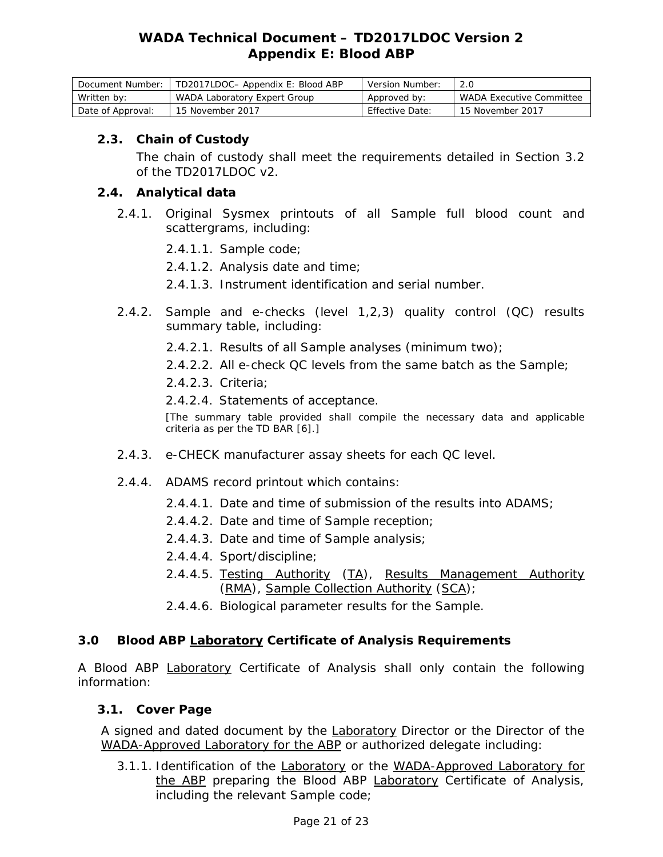# *WADA* **Technical Document – TD2017LDOC Version 2 Appendix E: Blood** *ABP*

| Document Number:  | TD2017LDOC- Appendix E: Blood ABP | Version Number: |                                 |
|-------------------|-----------------------------------|-----------------|---------------------------------|
| Written by:       | WADA Laboratory Expert Group      | Approved by:    | <i>WADA</i> Executive Committee |
| Date of Approval: | 15 November 2017                  | Effective Date: | 15 November 2017                |

## **2.3. Chain of Custody**

The chain of custody shall meet the requirements detailed in Section 3.2 of the TD2017LDOC v2.

### **2.4. Analytical data**

- 2.4.1. Original Sysmex printouts of all *Sample* full blood count and scattergrams, including:
	- 2.4.1.1. *Sample* code;
	- 2.4.1.2. Analysis date and time;
	- 2.4.1.3. Instrument identification and serial number.
- 2.4.2. *Sample* and e-checks (level 1,2,3) quality control (QC) results summary table, including:
	- 2.4.2.1. Results of all *Sample* analyses (minimum two);
	- 2.4.2.2. All e-check QC levels from the same batch as the *Sample*;
	- 2.4.2.3. Criteria;

2.4.2.4. Statements of acceptance.

[The summary table provided shall compile the necessary data and applicable criteria as per the TD BAR [6].]

- 2.4.3. e-CHECK manufacturer assay sheets for each QC level.
- 2.4.4. *ADAMS* record printout which contains:
	- 2.4.4.1. Date and time of submission of the results into *ADAMS*;
	- 2.4.4.2. Date and time of *Sample* reception;
	- 2.4.4.3. Date and time of *Sample* analysis;
	- 2.4.4.4. Sport/discipline;
	- 2.4.4.5. *Testing* Authority (TA), Results Management Authority (RMA), *Sample* Collection Authority (SCA);
	- 2.4.4.6. Biological parameter results for the *Sample*.

### **3.0 Blood** *ABP* **Laboratory Certificate of Analysis Requirements**

A Blood *ABP* Laboratory Certificate of Analysis shall only contain the following information:

#### **3.1. Cover Page**

A signed and dated document by the Laboratory Director or the Director of the *WADA*-Approved Laboratory for the *ABP* or authorized delegate including:

3.1.1. Identification of the Laboratory or the *WADA*-Approved Laboratory for the *ABP* preparing the Blood *ABP* Laboratory Certificate of Analysis, including the relevant *Sample* code;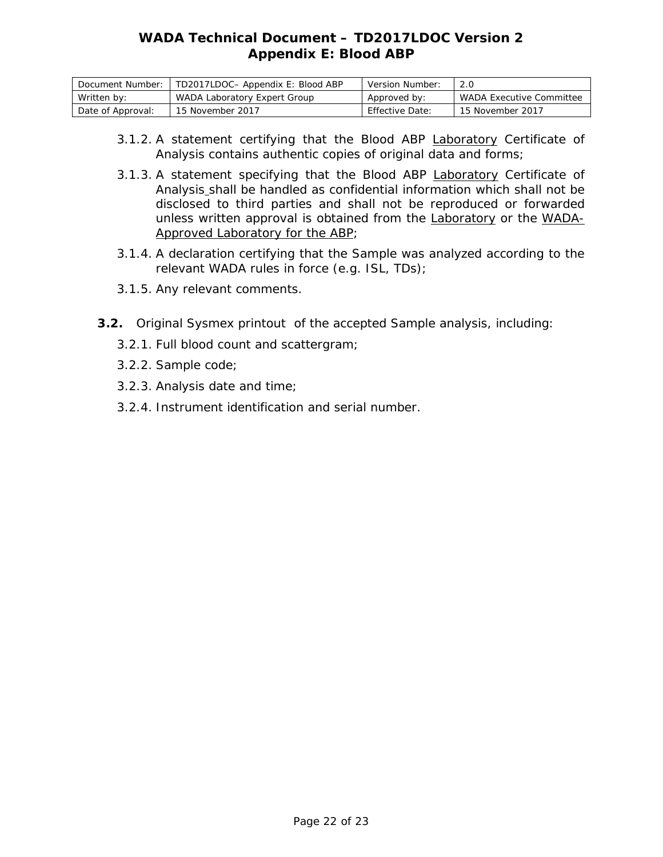# *WADA* **Technical Document – TD2017LDOC Version 2 Appendix E: Blood** *ABP*

| Document Number:  | TD2017LDOC- Appendix E: Blood ABP | Version Number: |                          |
|-------------------|-----------------------------------|-----------------|--------------------------|
| Written by:       | WADA Laboratory Expert Group      | Approved by:    | WADA Executive Committee |
| Date of Approval: | 15 November 2017                  | Effective Date: | 15 November 2017         |

- 3.1.2. A statement certifying that the Blood *ABP* Laboratory Certificate of Analysis contains authentic copies of original data and forms;
- 3.1.3. A statement specifying that the Blood *ABP* Laboratory Certificate of Analysis shall be handled as confidential information which shall not be disclosed to third parties and shall not be reproduced or forwarded unless written approval is obtained from the Laboratory or the *WADA*-Approved Laboratory for the *ABP*;
- 3.1.4. A declaration certifying that the *Sample* was analyzed according to the relevant *WADA* rules in force (*e.g*. ISL, TDs);
- 3.1.5. Any relevant comments.
- **3.2.** Original Sysmex printout of the accepted *Sample* analysis, including:
	- 3.2.1. Full blood count and scattergram;
	- 3.2.2. *Sample* code;
	- 3.2.3. Analysis date and time;
	- 3.2.4. Instrument identification and serial number.